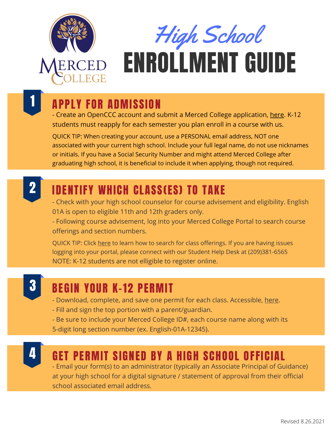

# High School

## ENROLLMENT GUIDE

#### 1 APPLY FOR ADMISSION

- Create an OpenCCC account and submit a Merced College application, [here.](https://www.opencccapply.net/gateway/apply?cccMisCode=531) K-12 students must reapply for each semester you plan enroll in a course with us.

QUICK TIP: When creating your account, use a PERSONAL email address, NOT one associated with your current high school. Include your full legal name, do not use nicknames or initials. If you have a Social Security Number and might attend Merced College after graduating high school, it is beneficial to include it when applying, though not required.



#### IDENTIFY WHICH CLASS(ES) TO TAKE

- Check with your high school counselor for course advisement and eligibility. English 01A is open to eligible 11th and 12th graders only.

- Following course advisement, log into your Merced College Portal to search course offerings and section numbers.

QUICK TIP: Click [here](https://www.youtube.com/watch?v=_Ywp7jQMnAI) to learn how to search for class offerings. If you are having issues logging into your portal, please connect with our Student Help Desk at (209)381-6565 NOTE: K-12 students are not elligible to register online.

### 3

#### BEGIN YOUR K-12 PERMIT

- Download, complete, and save one permit for each class. Accessible, [here.](https://www.mccd.edu/resources/admissions-records/forms.html)
- Fill and sign the top portion with a parent/guardian.

- Be sure to include your Merced College ID#, each course name along with its 5-digit long section number (ex. English-01A-12345).



#### GET PERMIT SIGNED BY A HIGH SCHOOL OFFICIAL

- Email your form(s) to an administrator (typically an Associate Principal of Guidance) at your high school for a digital signature / statement of approval from their official school associated email address.